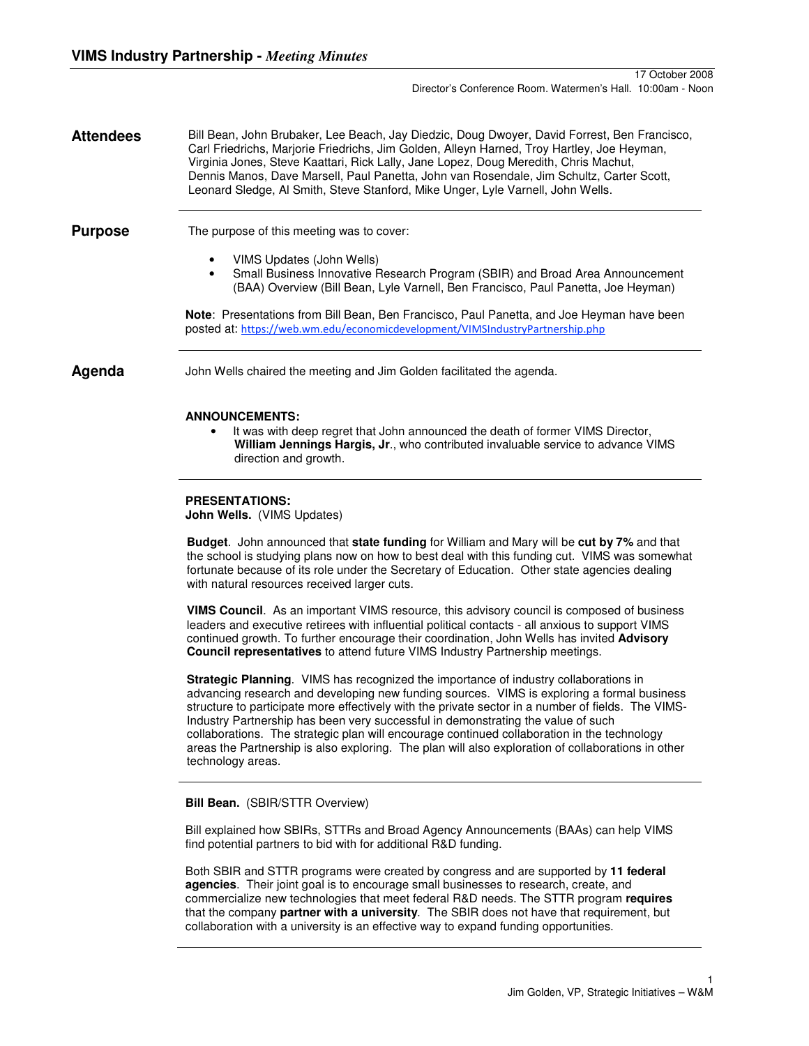**Attendees** Bill Bean, John Brubaker, Lee Beach, Jay Diedzic, Doug Dwoyer, David Forrest, Ben Francisco, Carl Friedrichs, Marjorie Friedrichs, Jim Golden, Alleyn Harned, Troy Hartley, Joe Heyman, Virginia Jones, Steve Kaattari, Rick Lally, Jane Lopez, Doug Meredith, Chris Machut, Dennis Manos, Dave Marsell, Paul Panetta, John van Rosendale, Jim Schultz, Carter Scott, Leonard Sledge, Al Smith, Steve Stanford, Mike Unger, Lyle Varnell, John Wells.

**Purpose** The purpose of this meeting was to cover:

- VIMS Updates (John Wells)
- Small Business Innovative Research Program (SBIR) and Broad Area Announcement (BAA) Overview (Bill Bean, Lyle Varnell, Ben Francisco, Paul Panetta, Joe Heyman)

**Note**: Presentations from Bill Bean, Ben Francisco, Paul Panetta, and Joe Heyman have been posted at: https://web.wm.edu/economicdevelopment/VIMSIndustryPartnership.php

**Agenda** John Wells chaired the meeting and Jim Golden facilitated the agenda.

## **ANNOUNCEMENTS:**

• It was with deep regret that John announced the death of former VIMS Director, **William Jennings Hargis, Jr**., who contributed invaluable service to advance VIMS direction and growth.

## **PRESENTATIONS:**

**John Wells.** (VIMS Updates)

**Budget**. John announced that **state funding** for William and Mary will be **cut by 7%** and that the school is studying plans now on how to best deal with this funding cut. VIMS was somewhat fortunate because of its role under the Secretary of Education. Other state agencies dealing with natural resources received larger cuts.

**VIMS Council**. As an important VIMS resource, this advisory council is composed of business leaders and executive retirees with influential political contacts - all anxious to support VIMS continued growth. To further encourage their coordination, John Wells has invited **Advisory Council representatives** to attend future VIMS Industry Partnership meetings.

**Strategic Planning**. VIMS has recognized the importance of industry collaborations in advancing research and developing new funding sources. VIMS is exploring a formal business structure to participate more effectively with the private sector in a number of fields. The VIMS-Industry Partnership has been very successful in demonstrating the value of such collaborations. The strategic plan will encourage continued collaboration in the technology areas the Partnership is also exploring. The plan will also exploration of collaborations in other technology areas.

## **Bill Bean.** (SBIR/STTR Overview)

Bill explained how SBIRs, STTRs and Broad Agency Announcements (BAAs) can help VIMS find potential partners to bid with for additional R&D funding.

Both SBIR and STTR programs were created by congress and are supported by **11 federal agencies**. Their joint goal is to encourage small businesses to research, create, and commercialize new technologies that meet federal R&D needs. The STTR program **requires** that the company **partner with a university**. The SBIR does not have that requirement, but collaboration with a university is an effective way to expand funding opportunities.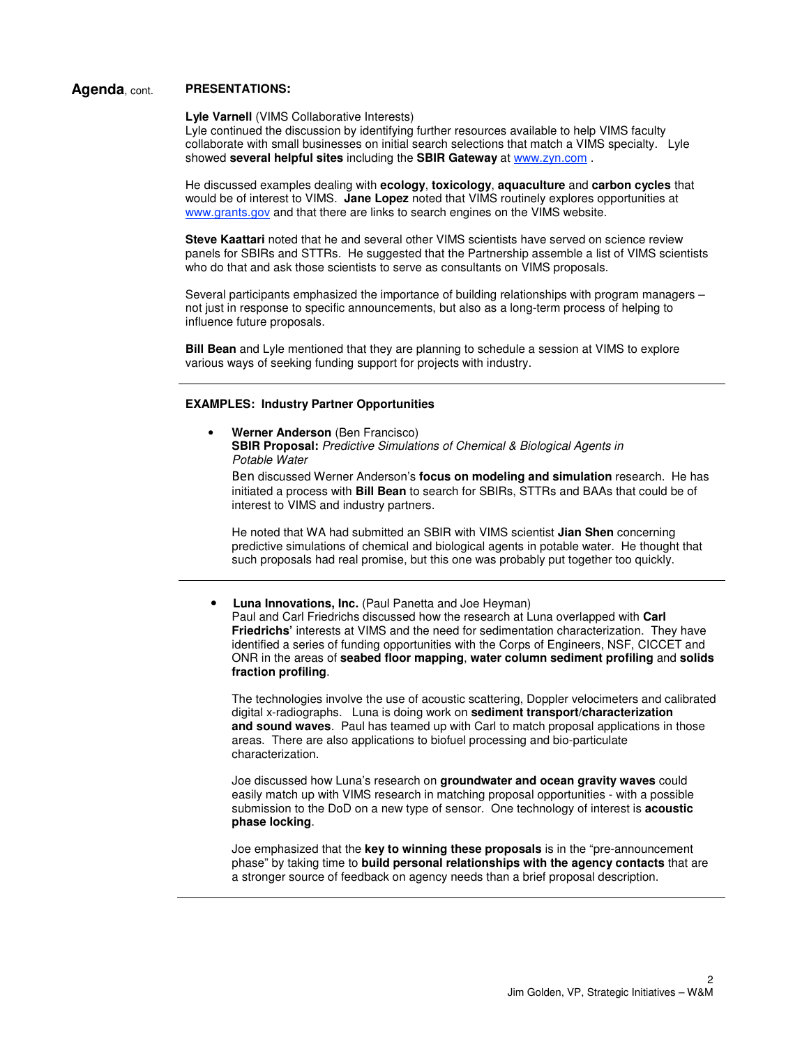# **Agenda**, cont. **PRESENTATIONS:**

**Lyle Varnell** (VIMS Collaborative Interests)

Lyle continued the discussion by identifying further resources available to help VIMS faculty collaborate with small businesses on initial search selections that match a VIMS specialty. Lyle showed **several helpful sites** including the **SBIR Gateway** at www.zyn.com .

He discussed examples dealing with **ecology**, **toxicology**, **aquaculture** and **carbon cycles** that would be of interest to VIMS. **Jane Lopez** noted that VIMS routinely explores opportunities at www.grants.gov and that there are links to search engines on the VIMS website.

**Steve Kaattari** noted that he and several other VIMS scientists have served on science review panels for SBIRs and STTRs. He suggested that the Partnership assemble a list of VIMS scientists who do that and ask those scientists to serve as consultants on VIMS proposals.

Several participants emphasized the importance of building relationships with program managers – not just in response to specific announcements, but also as a long-term process of helping to influence future proposals.

**Bill Bean** and Lyle mentioned that they are planning to schedule a session at VIMS to explore various ways of seeking funding support for projects with industry.

### **EXAMPLES: Industry Partner Opportunities**

• **Werner Anderson** (Ben Francisco) **SBIR Proposal:** Predictive Simulations of Chemical & Biological Agents in Potable Water

Ben discussed Werner Anderson's **focus on modeling and simulation** research. He has initiated a process with **Bill Bean** to search for SBIRs, STTRs and BAAs that could be of interest to VIMS and industry partners.

He noted that WA had submitted an SBIR with VIMS scientist **Jian Shen** concerning predictive simulations of chemical and biological agents in potable water. He thought that such proposals had real promise, but this one was probably put together too quickly.

• **Luna Innovations, Inc.** (Paul Panetta and Joe Heyman) Paul and Carl Friedrichs discussed how the research at Luna overlapped with **Carl Friedrichs'** interests at VIMS and the need for sedimentation characterization. They have identified a series of funding opportunities with the Corps of Engineers, NSF, CICCET and ONR in the areas of **seabed floor mapping**, **water column sediment profiling** and **solids fraction profiling**.

The technologies involve the use of acoustic scattering, Doppler velocimeters and calibrated digital x-radiographs. Luna is doing work on **sediment transport/characterization and sound waves**. Paul has teamed up with Carl to match proposal applications in those areas. There are also applications to biofuel processing and bio-particulate characterization.

Joe discussed how Luna's research on **groundwater and ocean gravity waves** could easily match up with VIMS research in matching proposal opportunities - with a possible submission to the DoD on a new type of sensor. One technology of interest is **acoustic phase locking**.

Joe emphasized that the **key to winning these proposals** is in the "pre-announcement phase" by taking time to **build personal relationships with the agency contacts** that are a stronger source of feedback on agency needs than a brief proposal description.